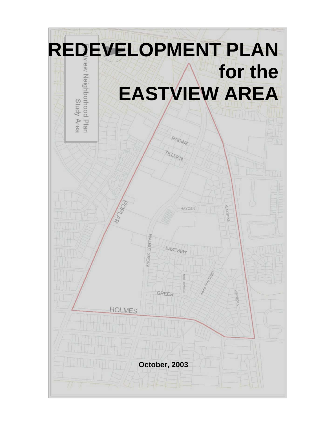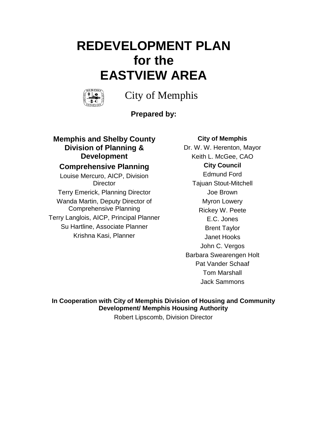# **REDEVELOPMENT PLAN for the EASTVIEW AREA**



City of Memphis

**Prepared by:**

## **Memphis and Shelby County Division of Planning & Development Comprehensive Planning**

Louise Mercuro, AICP, Division **Director** Terry Emerick, Planning Director Wanda Martin, Deputy Director of Comprehensive Planning Terry Langlois, AICP, Principal Planner Su Hartline, Associate Planner Krishna Kasi, Planner

## **City of Memphis**

Dr. W. W. Herenton, Mayor Keith L. McGee, CAO **City Council** Edmund Ford Tajuan Stout-Mitchell Joe Brown Myron Lowery Rickey W. Peete E.C. Jones Brent Taylor Janet Hooks John C. Vergos Barbara Swearengen Holt Pat Vander Schaaf Tom Marshall Jack Sammons

**In Cooperation with City of Memphis Division of Housing and Community Development/ Memphis Housing Authority**

Robert Lipscomb, Division Director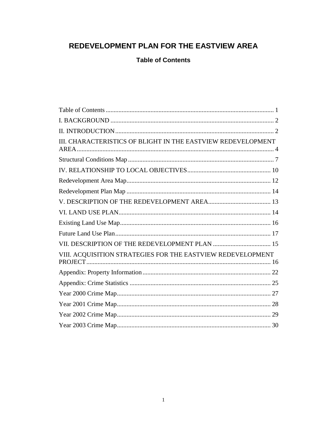# REDEVELOPMENT PLAN FOR THE EASTVIEW AREA

<span id="page-2-0"></span>**Table of Contents** 

| III. CHARACTERISTICS OF BLIGHT IN THE EASTVIEW REDEVELOPMENT |
|--------------------------------------------------------------|
|                                                              |
|                                                              |
|                                                              |
|                                                              |
|                                                              |
|                                                              |
|                                                              |
|                                                              |
|                                                              |
| VIII. ACQUISITION STRATEGIES FOR THE EASTVIEW REDEVELOPMENT  |
|                                                              |
|                                                              |
|                                                              |
|                                                              |
|                                                              |
|                                                              |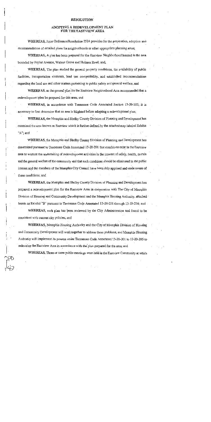#### **RESOLUTION**

#### ADOPTING A REDEVELOPMENT PLAN FOR THE EASTVIEW AREA

WHEREAS, Joint Ordinance/Resolution 2524 provides for the preparation, adoption and recommendation of detailed plans for neighborhoods or other appropriate planning areas;

WHEREAS, A plan has been prepared for the Eastview Neighborhood located in the area bounded by Poplar Avenue, Walnut Grove and Holmes Road; and,

WHEREAS, The plan studied the general property conditions, the availability of public facilities, transportation elements, land use compatibility, and established recommendations regarding the land use and other matters pertaining to public safety and general welfare; and

WHEREAS, as the general plan for the Eastview Neighborhood Area recommended that a redevelopment plan be prepared for this area; and

WHEREAS, in accordance with Tennessee Code Annotated Section 13-20-202; it is necessary to first determine that an area is blighted before adopting a redevelopment plan;

WHEREAS, the Memphis and Shelby County Division of Planning and Development has examined the area known as Eastview which is further defined by the attached map labeled Exhibit "A"; and

**WHEREAS**, the Memphis and Shelby County Division of Planning and Development has determined pursuant to Tennessee Code Annotated 13-20-201 that conditions exist in the Eastview area to warrant the undertaking of redevelopment activities in the interest of safety, health, morals and the general welfare of the community and that such conditions should be eliminated in the public interest and the members of the Memphis City Council have been duly apprised and made aware of these conditions; and

WHEREAS, the Memphis and Shelby County Division of Planning and Development has prepared a redevelopment plan for the Eastview Area in cooperation with The City of Memphis Division of Housing and Community Development and the Memphis Housing Authority, attached hereto as Exhibit "B" pursuant to Tennessee Code Annotated 13-20-201 through 13-20-216; and

WHEREAS, such plan has been reviewed by the City Administration and found to be consistent with current city policies; and

WHEREAS, Memphis Housing Authority and the City of Memphis Division of Housing and Community Development will work together to address these problems, and Memphis Housing Authority will implement its powers under Tennessee Code Annotated 13-20-201 to 13-20-205 to redevelop the Eastview Area in accordance with the plan prepared for the area; and

WHEREAS, Three or more public meetings were held in the Eastview Community at which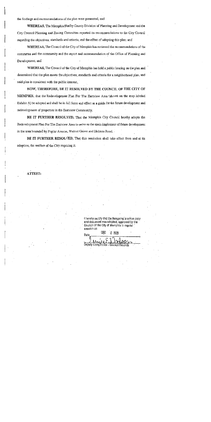the findings and recommendations of the plan were presented; and

WHEREAS, The Memphis/Shelby County Division of Planning and Development and the City Council Planning and Zoning Committee reported its recommendations to the City Council regarding the objectives, standards and criteria, and the effect of adopting this plan; and

WHEREAS, The Council of the City of Memphis has reviewed the recommendations of the committee and the community and the report and recommendation of the Office of Planning and Development; and

WHEREAS, The Council of the City of Memphis has held a public hearing on the plan and determined that the plan meets the objectives, standards and criteria for a neighborhood plan, and said plan is consistent with the public interest.

NOW, THEREFORE, BE IT RESOLVED BY THE COUNCIL OF THE CITY OF MEMPHIS, that the Redevelopment Plan For The Eastview Area (shown on the map labeled Exhibit A) be adopted and shall be in full force and effect as a guide for the future development and redevelopment of properties in the Eastview Community.

BE IT FURTHER RESOLVED, That the Memphis City Council hereby adopts the Redevelopment Plan For The Eastview Area to serve as the main implement of future development in the area bounded by Poplar Avenue, Walnut Grove and Holmes Road.

BE IT FURTHER RESOLVED, That this resolution shall take effect from and at its adoption, the welfare of the City requiring it.

ATTEST:

I hereby certify that the foregoing is a true copy and document was adopted, approved by the Council of the City of Memphis in regular session on

-2003 Date Deputy Comptroller - Council Record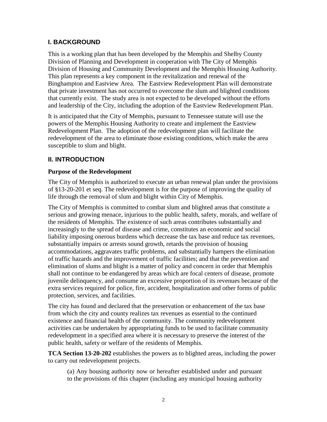## <span id="page-5-0"></span>**I. BACKGROUND**

This is a working plan that has been developed by the Memphis and Shelby County Division of Planning and Development in cooperation with The City of Memphis Division of Housing and Community Development and the Memphis Housing Authority. This plan represents a key component in the revitalization and renewal of the Binghampton and Eastview Area. The Eastview Redevelopment Plan will demonstrate that private investment has not occurred to overcome the slum and blighted conditions that currently exist. The study area is not expected to be developed without the efforts and leadership of the City, including the adoption of the Eastview Redevelopment Plan.

It is anticipated that the City of Memphis, pursuant to Tennessee statute will use the powers of the Memphis Housing Authority to create and implement the Eastview Redevelopment Plan. The adoption of the redevelopment plan will facilitate the redevelopment of the area to eliminate those existing conditions, which make the area susceptible to slum and blight.

## <span id="page-5-1"></span>**II. INTRODUCTION**

## **Purpose of the Redevelopment**

The City of Memphis is authorized to execute an urban renewal plan under the provisions of §13-20-201 et seq. The redevelopment is for the purpose of improving the quality of life through the removal of slum and blight within City of Memphis.

The City of Memphis is committed to combat slum and blighted areas that constitute a serious and growing menace, injurious to the public health, safety, morals, and welfare of the residents of Memphis. The existence of such areas contributes substantially and increasingly to the spread of disease and crime, constitutes an economic and social liability imposing onerous burdens which decrease the tax base and reduce tax revenues, substantially impairs or arrests sound growth, retards the provision of housing accommodations, aggravates traffic problems, and substantially hampers the elimination of traffic hazards and the improvement of traffic facilities; and that the prevention and elimination of slums and blight is a matter of policy and concern in order that Memphis shall not continue to be endangered by areas which are focal centers of disease, promote juvenile delinquency, and consume an excessive proportion of its revenues because of the extra services required for police, fire, accident, hospitalization and other forms of public protection, services, and facilities.

The city has found and declared that the preservation or enhancement of the tax base from which the city and county realizes tax revenues as essential to the continued existence and financial health of the community. The community redevelopment activities can be undertaken by appropriating funds to be used to facilitate community redevelopment in a specified area where it is necessary to preserve the interest of the public health, safety or welfare of the residents of Memphis.

**TCA Section 13-20-202** establishes the powers as to blighted areas, including the power to carry out redevelopment projects.

(a) Any housing authority now or hereafter established under and pursuant to the provisions of this chapter (including any municipal housing authority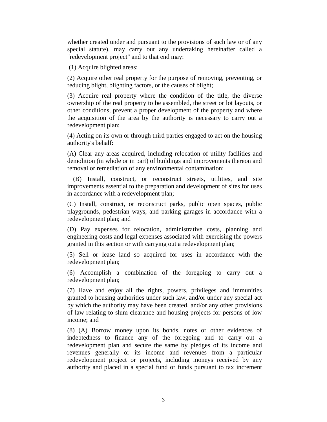whether created under and pursuant to the provisions of such law or of any special statute), may carry out any undertaking hereinafter called a "redevelopment project" and to that end may:

(1) Acquire blighted areas;

(2) Acquire other real property for the purpose of removing, preventing, or reducing blight, blighting factors, or the causes of blight;

(3) Acquire real property where the condition of the title, the diverse ownership of the real property to be assembled, the street or lot layouts, or other conditions, prevent a proper development of the property and where the acquisition of the area by the authority is necessary to carry out a redevelopment plan;

(4) Acting on its own or through third parties engaged to act on the housing authority's behalf:

(A) Clear any areas acquired, including relocation of utility facilities and demolition (in whole or in part) of buildings and improvements thereon and removal or remediation of any environmental contamination;

 (B) Install, construct, or reconstruct streets, utilities, and site improvements essential to the preparation and development of sites for uses in accordance with a redevelopment plan;

(C) Install, construct, or reconstruct parks, public open spaces, public playgrounds, pedestrian ways, and parking garages in accordance with a redevelopment plan; and

(D) Pay expenses for relocation, administrative costs, planning and engineering costs and legal expenses associated with exercising the powers granted in this section or with carrying out a redevelopment plan;

(5) Sell or lease land so acquired for uses in accordance with the redevelopment plan;

(6) Accomplish a combination of the foregoing to carry out a redevelopment plan;

(7) Have and enjoy all the rights, powers, privileges and immunities granted to housing authorities under such law, and/or under any special act by which the authority may have been created, and/or any other provisions of law relating to slum clearance and housing projects for persons of low income; and

(8) (A) Borrow money upon its bonds, notes or other evidences of indebtedness to finance any of the foregoing and to carry out a redevelopment plan and secure the same by pledges of its income and revenues generally or its income and revenues from a particular redevelopment project or projects, including moneys received by any authority and placed in a special fund or funds pursuant to tax increment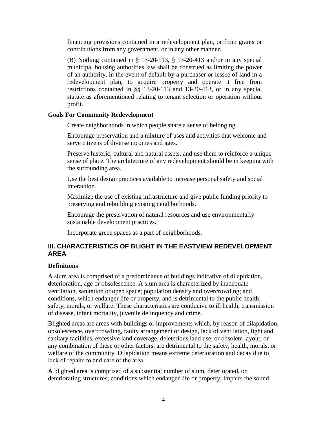financing provisions contained in a redevelopment plan, or from grants or contributions from any government, or in any other manner.

(B) Nothing contained in § 13-20-113, § 13-20-413 and/or in any special municipal housing authorities law shall be construed as limiting the power of an authority, in the event of default by a purchaser or lessee of land in a redevelopment plan, to acquire property and operate it free from restrictions contained in §§ 13-20-113 and 13-20-413, or in any special statute as aforementioned relating to tenant selection or operation without profit.

#### **Goals For Community Redevelopment**

Create neighborhoods in which people share a sense of belonging.

Encourage preservation and a mixture of uses and activities that welcome and serve citizens of diverse incomes and ages.

Preserve historic, cultural and natural assets, and use them to reinforce a unique sense of place. The architecture of any redevelopment should be in keeping with the surrounding area.

Use the best design practices available to increase personal safety and social interaction.

Maximize the use of existing infrastructure and give public funding priority to preserving and rebuilding existing neighborhoods.

Encourage the preservation of natural resources and use environmentally sustainable development practices.

Incorporate green spaces as a part of neighborhoods.

## <span id="page-7-0"></span>**III. CHARACTERISTICS OF BLIGHT IN THE EASTVIEW REDEVELOPMENT AREA**

## **Definitions**

A slum area is comprised of a predominance of buildings indicative of dilapidation, deterioration, age or obsolescence. A slum area is characterized by inadequate ventilation, sanitation or open space; population density and overcrowding; and conditions, which endanger life or property, and is detrimental to the public health, safety, morals, or welfare. These characteristics are conducive to ill health, transmission of disease, infant mortality, juvenile delinquency and crime.

Blighted areas are areas with buildings or improvements which, by reason of dilapidation, obsolescence, overcrowding, faulty arrangement or design, lack of ventilation, light and sanitary facilities, excessive land coverage, deleterious land use, or obsolete layout, or any combination of these or other factors, are detrimental to the safety, health, morals, or welfare of the community. Dilapidation means extreme deterioration and decay due to lack of repairs to and care of the area.

A blighted area is comprised of a substantial number of slum, deteriorated, or deteriorating structures; conditions which endanger life or property; impairs the sound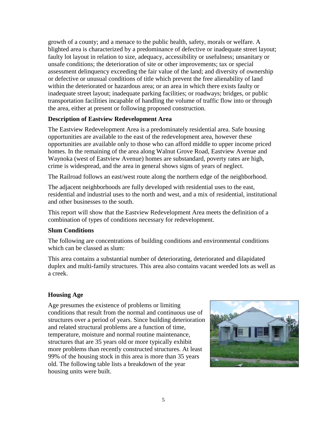growth of a county; and a menace to the public health, safety, morals or welfare. A blighted area is characterized by a predominance of defective or inadequate street layout; faulty lot layout in relation to size, adequacy, accessibility or usefulness; unsanitary or unsafe conditions; the deterioration of site or other improvements; tax or special assessment delinquency exceeding the fair value of the land; and diversity of ownership or defective or unusual conditions of title which prevent the free alienability of land within the deteriorated or hazardous area; or an area in which there exists faulty or inadequate street layout; inadequate parking facilities; or roadways; bridges, or public transportation facilities incapable of handling the volume of traffic flow into or through the area, either at present or following proposed construction.

#### **Description of Eastview Redevelopment Area**

The Eastview Redevelopment Area is a predominately residential area. Safe housing opportunities are available to the east of the redevelopment area, however these opportunities are available only to those who can afford middle to upper income priced homes. In the remaining of the area along Walnut Grove Road, Eastview Avenue and Waynoka (west of Eastview Avenue) homes are substandard, poverty rates are high, crime is widespread, and the area in general shows signs of years of neglect.

The Railroad follows an east/west route along the northern edge of the neighborhood.

The adjacent neighborhoods are fully developed with residential uses to the east, residential and industrial uses to the north and west, and a mix of residential, institutional and other businesses to the south.

This report will show that the Eastview Redevelopment Area meets the definition of a combination of types of conditions necessary for redevelopment.

#### **Slum Conditions**

The following are concentrations of building conditions and environmental conditions which can be classed as slum:

This area contains a substantial number of deteriorating, deteriorated and dilapidated duplex and multi-family structures. This area also contains vacant weeded lots as well as a creek.

## **Housing Age**

Age presumes the existence of problems or limiting conditions that result from the normal and continuous use of structures over a period of years. Since building deterioration and related structural problems are a function of time, temperature, moisture and normal routine maintenance, structures that are 35 years old or more typically exhibit more problems than recently constructed structures. At least 99% of the housing stock in this area is more than 35 years old. The following table lists a breakdown of the year housing units were built.

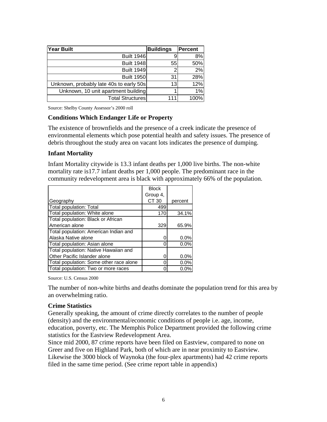| Year Built                              | <b>Buildings</b> | <b>Percent</b> |
|-----------------------------------------|------------------|----------------|
| <b>Built 1946</b>                       |                  | 8%             |
| <b>Built 1948</b>                       | 55               | 50%            |
| <b>Built 1949</b>                       | ŋ                | 2%             |
| <b>Built 1950</b>                       | 31               | 28%            |
| Unknown, probably late 40s to early 50s | 13               | 12%            |
| Unknown, 10 unit apartment building     |                  | 1%             |
| <b>Total Structures</b>                 | 111              | 100%           |

Source: Shelby County Assessor's 2000 roll

#### **Conditions Which Endanger Life or Property**

The existence of brownfields and the presence of a creek indicate the presence of environmental elements which pose potential health and safety issues. The presence of debris throughout the study area on vacant lots indicates the presence of dumping.

#### **Infant Mortality**

Infant Mortality citywide is 13.3 infant deaths per 1,000 live births. The non-white mortality rate is17.7 infant deaths per 1,000 people. The predominant race in the community redevelopment area is black with approximately 66% of the population.

|                                         | <b>Block</b> |         |
|-----------------------------------------|--------------|---------|
|                                         | Group 4,     |         |
| Geography                               | CT 30        | percent |
| <b>Total population: Total</b>          | 499          |         |
| Total population: White alone           | 170          | 34.1%   |
| Total population: Black or African      |              |         |
| American alone                          | 329          | 65.9%   |
| Total population: American Indian and   |              |         |
| Alaska Native alone                     |              | 0.0%    |
| Total population: Asian alone           | O            | 0.0%    |
| Total population: Native Hawaiian and   |              |         |
| Other Pacific Islander alone            | Ω            | 0.0%    |
| Total population: Some other race alone | Π            | 0.0%    |
| Total population: Two or more races     |              | $0.0\%$ |

Source: U.S. Census 2000

The number of non-white births and deaths dominate the population trend for this area by an overwhelming ratio.

#### **Crime Statistics**

Generally speaking, the amount of crime directly correlates to the number of people (density) and the environmental/economic conditions of people i.e. age, income, education, poverty, etc. The Memphis Police Department provided the following crime statistics for the Eastview Redevelopment Area.

Since mid 2000, 87 crime reports have been filed on Eastview, compared to none on Greer and five on Highland Park, both of which are in near proximity to Eastview. Likewise the 3000 block of Waynoka (the four-plex apartments) had 42 crime reports filed in the same time period. (See crime report table in appendix)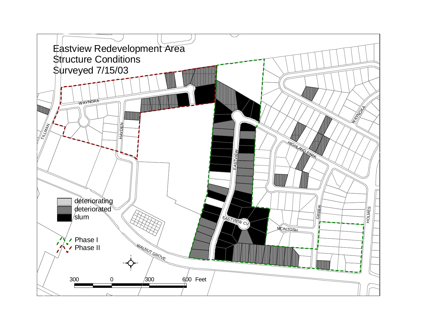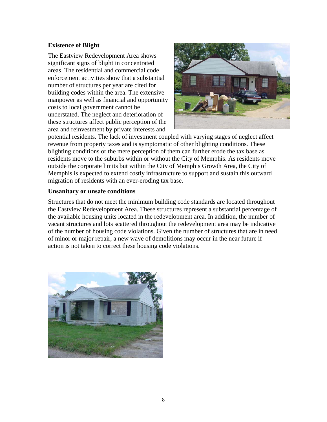## **Existence of Blight**

The Eastview Redevelopment Area shows significant signs of blight in concentrated areas. The residential and commercial code enforcement activities show that a substantial number of structures per year are cited for building codes within the area. The extensive manpower as well as financial and opportunity costs to local government cannot be understated. The neglect and deterioration of these structures affect public perception of the area and reinvestment by private interests and



potential residents. The lack of investment coupled with varying stages of neglect affect revenue from property taxes and is symptomatic of other blighting conditions. These blighting conditions or the mere perception of them can further erode the tax base as residents move to the suburbs within or without the City of Memphis. As residents move outside the corporate limits but within the City of Memphis Growth Area, the City of Memphis is expected to extend costly infrastructure to support and sustain this outward migration of residents with an ever-eroding tax base.

#### **Unsanitary or unsafe conditions**

Structures that do not meet the minimum building code standards are located throughout the Eastview Redevelopment Area. These structures represent a substantial percentage of the available housing units located in the redevelopment area. In addition, the number of vacant structures and lots scattered throughout the redevelopment area may be indicative of the number of housing code violations. Given the number of structures that are in need of minor or major repair, a new wave of demolitions may occur in the near future if action is not taken to correct these housing code violations.

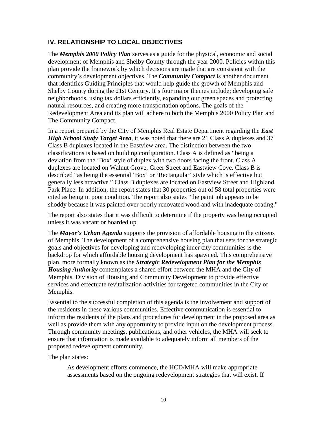## <span id="page-12-0"></span>**IV. RELATIONSHIP TO LOCAL OBJECTIVES**

The *Memphis 2000 Policy Plan* serves as a guide for the physical, economic and social development of Memphis and Shelby County through the year 2000. Policies within this plan provide the framework by which decisions are made that are consistent with the community's development objectives. The *Community Compact* is another document that identifies Guiding Principles that would help guide the growth of Memphis and Shelby County during the 21st Century. It's four major themes include; developing safe neighborhoods, using tax dollars efficiently, expanding our green spaces and protecting natural resources, and creating more transportation options. The goals of the Redevelopment Area and its plan will adhere to both the Memphis 2000 Policy Plan and The Community Compact.

In a report prepared by the City of Memphis Real Estate Department regarding the *East High School Study Target Area*, it was noted that there are 21 Class A duplexes and 37 Class B duplexes located in the Eastview area. The distinction between the two classifications is based on building configuration. Class A is defined as "being a deviation from the 'Box' style of duplex with two doors facing the front. Class A duplexes are located on Walnut Grove, Greer Street and Eastview Cove. Class B is described "as being the essential 'Box' or 'Rectangular' style which is effective but generally less attractive." Class B duplexes are located on Eastview Street and Highland Park Place. In addition, the report states that 30 properties out of 58 total properties were cited as being in poor condition. The report also states "the paint job appears to be shoddy because it was painted over poorly renovated wood and with inadequate coating."

The report also states that it was difficult to determine if the property was being occupied unless it was vacant or boarded up.

The *Mayor's Urban Agenda* supports the provision of affordable housing to the citizens of Memphis. The development of a comprehensive housing plan that sets for the strategic goals and objectives for developing and redeveloping inner city communities is the backdrop for which affordable housing development has spawned. This comprehensive plan, more formally known as the *Strategic Redevelopment Plan for the Memphis Housing Authority* contemplates a shared effort between the MHA and the City of Memphis, Division of Housing and Community Development to provide effective services and effectuate revitalization activities for targeted communities in the City of Memphis.

Essential to the successful completion of this agenda is the involvement and support of the residents in these various communities. Effective communication is essential to inform the residents of the plans and procedures for development in the proposed area as well as provide them with any opportunity to provide input on the development process. Through community meetings, publications, and other vehicles, the MHA will seek to ensure that information is made available to adequately inform all members of the proposed redevelopment community.

The plan states:

As development efforts commence, the HCD/MHA will make appropriate assessments based on the ongoing redevelopment strategies that will exist. If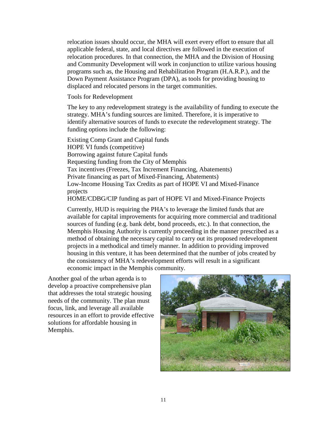relocation issues should occur, the MHA will exert every effort to ensure that all applicable federal, state, and local directives are followed in the execution of relocation procedures. In that connection, the MHA and the Division of Housing and Community Development will work in conjunction to utilize various housing programs such as, the Housing and Rehabilitation Program (H.A.R.P.), and the Down Payment Assistance Program (DPA), as tools for providing housing to displaced and relocated persons in the target communities.

Tools for Redevelopment

The key to any redevelopment strategy is the availability of funding to execute the strategy. MHA's funding sources are limited. Therefore, it is imperative to identify alternative sources of funds to execute the redevelopment strategy. The funding options include the following:

Existing Comp Grant and Capital funds HOPE VI funds (competitive) Borrowing against future Capital funds Requesting funding from the City of Memphis Tax incentives (Freezes, Tax Increment Financing, Abatements) Private financing as part of Mixed-Financing, Abatements) Low-Income Housing Tax Credits as part of HOPE VI and Mixed-Finance projects HOME/CDBG/CIP funding as part of HOPE VI and Mixed-Finance Projects

Currently, HUD is requiring the PHA's to leverage the limited funds that are available for capital improvements for acquiring more commercial and traditional sources of funding (e.g. bank debt, bond proceeds, etc.). In that connection, the Memphis Housing Authority is currently proceeding in the manner prescribed as a method of obtaining the necessary capital to carry out its proposed redevelopment projects in a methodical and timely manner. In addition to providing improved housing in this venture, it has been determined that the number of jobs created by the consistency of MHA's redevelopment efforts will result in a significant economic impact in the Memphis community.

Another goal of the urban agenda is to develop a proactive comprehensive plan that addresses the total strategic housing needs of the community. The plan must focus, link, and leverage all available resources in an effort to provide effective solutions for affordable housing in Memphis.

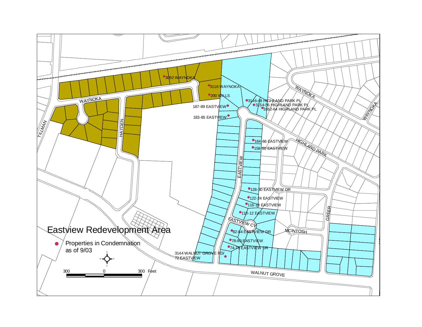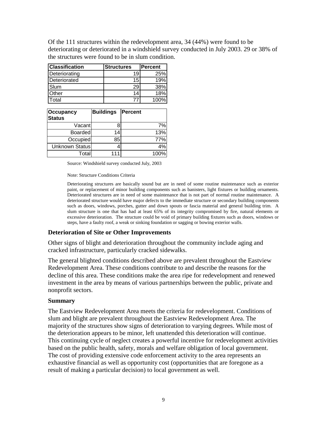| Of the 111 structures within the redevelopment area, $34(44%)$ were found to be           |
|-------------------------------------------------------------------------------------------|
| deteriorating or deteriorated in a windshield survey conducted in July 2003. 29 or 38% of |
| the structures were found to be in slum condition.                                        |

| <b>Classification</b> | <b>Structures</b> | <b>Percent</b> |
|-----------------------|-------------------|----------------|
| Deteriorating         | 19                | 25%            |
| Deteriorated          | 15 <sup>1</sup>   | 19%            |
| Slum                  | 29                | 38%            |
| $\overline{O}$ ther   | 14                | 18%            |
| <b>Total</b>          |                   | 100%           |

| Occupancy<br><b>Status</b> | <b>Buildings</b> | <b>Percent</b> |
|----------------------------|------------------|----------------|
| Vacantl                    |                  | 7%             |
| <b>Boarded</b>             | 14               | 13%            |
| Occupied                   | 85               | 77%            |
| Unknown Status             |                  | 4%             |
| Total                      | 111              | 100%           |

Source: Windshield survey conducted July, 2003

Note: Structure Conditions Criteria

Deteriorating structures are basically sound but are in need of some routine maintenance such as exterior paint, or replacement of minor building components such as banisters, light fixtures or building ornaments. Deteriorated structures are in need of some maintenance that is not part of normal routine maintenance. A deteriorated structure would have major defects to the immediate structure or secondary building components such as doors, windows, porches, gutter and down spouts or fascia material and general building trim. A slum structure is one that has had at least 65% of its integrity compromised by fire, natural elements or excessive deterioration. The structure could be void of primary building fixtures such as doors, windows or steps, have a faulty roof, a weak or sinking foundation or sagging or bowing exterior walls.

#### **Deterioration of Site or Other Improvements**

Other signs of blight and deterioration throughout the community include aging and cracked infrastructure, particularly cracked sidewalks.

The general blighted conditions described above are prevalent throughout the Eastview Redevelopment Area. These conditions contribute to and describe the reasons for the decline of this area. These conditions make the area ripe for redevelopment and renewed investment in the area by means of various partnerships between the public, private and nonprofit sectors.

#### **Summary**

The Eastview Redevelopment Area meets the criteria for redevelopment. Conditions of slum and blight are prevalent throughout the Eastview Redevelopment Area. The majority of the structures show signs of deterioration to varying degrees. While most of the deterioration appears to be minor, left unattended this deterioration will continue. This continuing cycle of neglect creates a powerful incentive for redevelopment activities based on the public health, safety, morals and welfare obligation of local government. The cost of providing extensive code enforcement activity to the area represents an exhaustive financial as well as opportunity cost (opportunities that are foregone as a result of making a particular decision) to local government as well.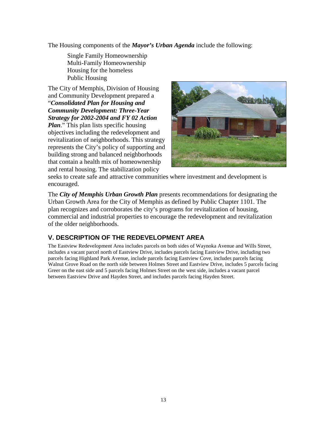The Housing components of the *Mayor's Urban Agenda* include the following:

Single Family Homeownership Multi-Family Homeownership Housing for the homeless Public Housing

The City of Memphis, Division of Housing and Community Development prepared a "*Consolidated Plan for Housing and Community Development: Three-Year Strategy for 2002-2004 and FY 02 Action Plan*." This plan lists specific housing objectives including the redevelopment and revitalization of neighborhoods. This strategy represents the City's policy of supporting and building strong and balanced neighborhoods that contain a health mix of homeownership and rental housing. The stabilization policy



seeks to create safe and attractive communities where investment and development is encouraged.

The *City of Memphis Urban Growth Plan* presents recommendations for designating the Urban Growth Area for the City of Memphis as defined by Public Chapter 1101. The plan recognizes and corroborates the city's programs for revitalization of housing, commercial and industrial properties to encourage the redevelopment and revitalization of the older neighborhoods.

## <span id="page-16-0"></span>**V. DESCRIPTION OF THE REDEVELOPMENT AREA**

The Eastview Redevelopment Area includes parcels on both sides of Waynoka Avenue and Wills Street, includes a vacant parcel north of Eastview Drive, includes parcels facing Eastview Drive, including two parcels facing Highland Park Avenue, include parcels facing Eastview Cove, includes parcels facing Walnut Grove Road on the north side between Holmes Street and Eastview Drive, includes 5 parcels facing Greer on the east side and 5 parcels facing Holmes Street on the west side, includes a vacant parcel between Eastview Drive and Hayden Street, and includes parcels facing Hayden Street.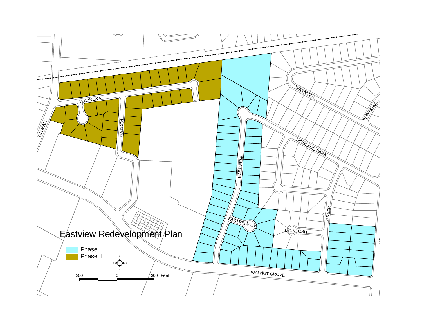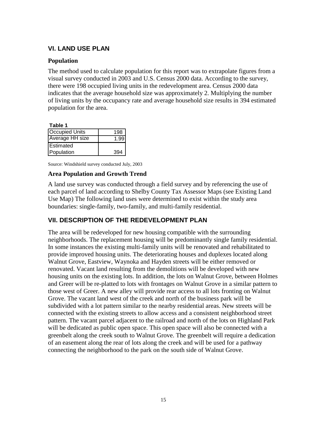## **VI. LAND USE PLAN**

#### **Population**

The method used to calculate population for this report was to extrapolate figures from a visual survey conducted in 2003 and U.S. Census 2000 data. According to the survey, there were 198 occupied living units in the redevelopment area. Census 2000 data indicates that the average household size was approximately 2. Multiplying the number of living units by the occupancy rate and average household size results in 394 estimated population for the area.

**Table 1**

| .                      |     |
|------------------------|-----|
| <b>Occupied Units</b>  | 198 |
| <b>Average HH size</b> |     |
| <b>IEstimated</b>      |     |
| Population             | 394 |

Source: Windshield survey conducted July, 2003

#### **Area Population and Growth Trend**

A land use survey was conducted through a field survey and by referencing the use of each parcel of land according to Shelby County Tax Assessor Maps (see Existing Land Use Map) The following land uses were determined to exist within the study area boundaries: single-family, two-family, and multi-family residential.

## <span id="page-18-1"></span>**VII. DESCRIPTION OF THE REDEVELOPMENT PLAN**

<span id="page-18-0"></span>The area will be redeveloped for new housing compatible with the surrounding neighborhoods. The replacement housing will be predominantly single family residential. In some instances the existing multi-family units will be renovated and rehabilitated to provide improved housing units. The deteriorating houses and duplexes located along Walnut Grove, Eastview, Waynoka and Hayden streets will be either removed or renovated. Vacant land resulting from the demolitions will be developed with new housing units on the existing lots. In addition, the lots on Walnut Grove, between Holmes and Greer will be re-platted to lots with frontages on Walnut Grove in a similar pattern to those west of Greer. A new alley will provide rear access to all lots fronting on Walnut Grove. The vacant land west of the creek and north of the business park will be subdivided with a lot pattern similar to the nearby residential areas. New streets will be connected with the existing streets to allow access and a consistent neighborhood street pattern. The vacant parcel adjacent to the railroad and north of the lots on Highland Park will be dedicated as public open space. This open space will also be connected with a greenbelt along the creek south to Walnut Grove. The greenbelt will require a dedication of an easement along the rear of lots along the creek and will be used for a pathway connecting the neighborhood to the park on the south side of Walnut Grove.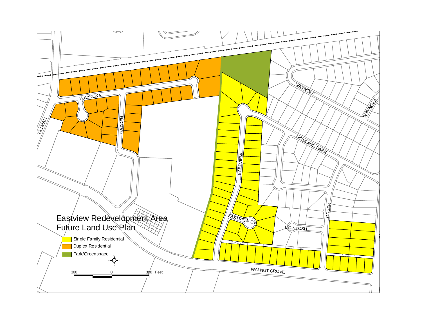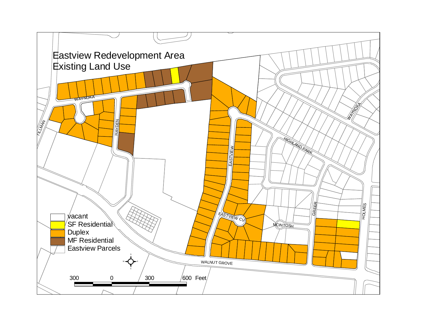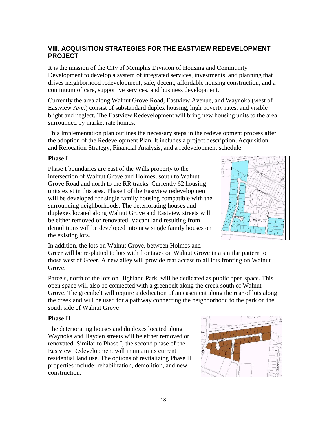## **VIII. ACQUISITION STRATEGIES FOR THE EASTVIEW REDEVELOPMENT PROJECT**

It is the mission of the City of Memphis Division of Housing and Community Development to develop a system of integrated services, investments, and planning that drives neighborhood redevelopment, safe, decent, affordable housing construction, and a continuum of care, supportive services, and business development.

Currently the area along Walnut Grove Road, Eastview Avenue, and Waynoka (west of Eastview Ave.) consist of substandard duplex housing, high poverty rates, and visible blight and neglect. The Eastview Redevelopment will bring new housing units to the area surrounded by market rate homes.

This Implementation plan outlines the necessary steps in the redevelopment process after the adoption of the Redevelopment Plan. It includes a project description, Acquisition and Relocation Strategy, Financial Analysis, and a redevelopment schedule.

## **Phase I**

Phase I boundaries are east of the Wills property to the intersection of Walnut Grove and Holmes, south to Walnut Grove Road and north to the RR tracks. Currently 62 housing units exist in this area. Phase I of the Eastview redevelopment will be developed for single family housing compatible with the surrounding neighborhoods. The deteriorating houses and duplexes located along Walnut Grove and Eastview streets will be either removed or renovated. Vacant land resulting from demolitions will be developed into new single family houses on the existing lots.



In addition, the lots on Walnut Grove, between Holmes and

Greer will be re-platted to lots with frontages on Walnut Grove in a similar pattern to those west of Greer. A new alley will provide rear access to all lots fronting on Walnut Grove.

Parcels, north of the lots on Highland Park, will be dedicated as public open space. This open space will also be connected with a greenbelt along the creek south of Walnut Grove. The greenbelt will require a dedication of an easement along the rear of lots along the creek and will be used for a pathway connecting the neighborhood to the park on the south side of Walnut Grove

## **Phase II**

<span id="page-21-0"></span>The deteriorating houses and duplexes located along Waynoka and Hayden streets will be either removed or renovated. Similar to Phase I, the second phase of the Eastview Redevelopment will maintain its current residential land use. The options of revitalizing Phase II properties include: rehabilitation, demolition, and new construction.

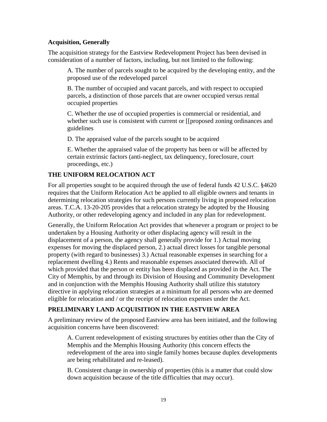#### **Acquisition, Generally**

The acquisition strategy for the Eastview Redevelopment Project has been devised in consideration of a number of factors, including, but not limited to the following:

A. The number of parcels sought to be acquired by the developing entity, and the proposed use of the redeveloped parcel

B. The number of occupied and vacant parcels, and with respect to occupied parcels, a distinction of those parcels that are owner occupied versus rental occupied properties

C. Whether the use of occupied properties is commercial or residential, and whether such use is consistent with current or [[proposed zoning ordinances and guidelines

D. The appraised value of the parcels sought to be acquired

E. Whether the appraised value of the property has been or will be affected by certain extrinsic factors (anti-neglect, tax delinquency, foreclosure, court proceedings, etc.)

## **THE UNIFORM RELOCATION ACT**

For all properties sought to be acquired through the use of federal funds 42 U.S.C. §4620 requires that the Uniform Relocation Act be applied to all eligible owners and tenants in determining relocation strategies for such persons currently living in proposed relocation areas. T.C.A. 13-20-205 provides that a relocation strategy be adopted by the Housing Authority, or other redeveloping agency and included in any plan for redevelopment.

Generally, the Uniform Relocation Act provides that whenever a program or project to be undertaken by a Housing Authority or other displacing agency will result in the displacement of a person, the agency shall generally provide for 1.) Actual moving expenses for moving the displaced person, 2.) actual direct losses for tangible personal property (with regard to businesses) 3.) Actual reasonable expenses in searching for a replacement dwelling 4.) Rents and reasonable expenses associated therewith. All of which provided that the person or entity has been displaced as provided in the Act. The City of Memphis, by and through its Division of Housing and Community Development and in conjunction with the Memphis Housing Authority shall utilize this statutory directive in applying relocation strategies at a minimum for all persons who are deemed eligible for relocation and / or the receipt of relocation expenses under the Act.

## **PRELIMINARY LAND ACQUISITION IN THE EASTVIEW AREA**

A preliminary review of the proposed Eastview area has been initiated, and the following acquisition concerns have been discovered:

A. Current redevelopment of existing structures by entities other than the City of Memphis and the Memphis Housing Authority (this concern effects the redevelopment of the area into single family homes because duplex developments are being rehabilitated and re-leased).

B. Consistent change in ownership of properties (this is a matter that could slow down acquisition because of the title difficulties that may occur).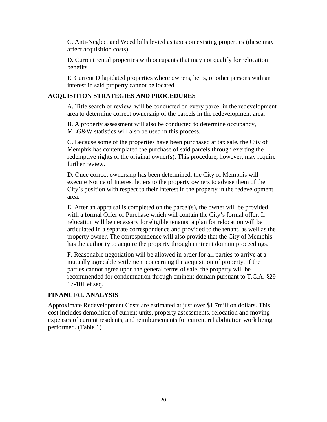C. Anti-Neglect and Weed bills levied as taxes on existing properties (these may affect acquisition costs)

D. Current rental properties with occupants that may not qualify for relocation benefits

E. Current Dilapidated properties where owners, heirs, or other persons with an interest in said property cannot be located

#### **ACQUISITION STRATEGIES AND PROCEDURES**

A. Title search or review, will be conducted on every parcel in the redevelopment area to determine correct ownership of the parcels in the redevelopment area.

B. A property assessment will also be conducted to determine occupancy, MLG&W statistics will also be used in this process.

C. Because some of the properties have been purchased at tax sale, the City of Memphis has contemplated the purchase of said parcels through exerting the redemptive rights of the original owner(s). This procedure, however, may require further review.

D. Once correct ownership has been determined, the City of Memphis will execute Notice of Interest letters to the property owners to advise them of the City's position with respect to their interest in the property in the redevelopment area.

E. After an appraisal is completed on the parcel(s), the owner will be provided with a formal Offer of Purchase which will contain the City's formal offer. If relocation will be necessary for eligible tenants, a plan for relocation will be articulated in a separate correspondence and provided to the tenant, as well as the property owner. The correspondence will also provide that the City of Memphis has the authority to acquire the property through eminent domain proceedings.

F. Reasonable negotiation will be allowed in order for all parties to arrive at a mutually agreeable settlement concerning the acquisition of property. If the parties cannot agree upon the general terms of sale, the property will be recommended for condemnation through eminent domain pursuant to T.C.A. §29- 17-101 et seq.

## **FINANCIAL ANALYSIS**

Approximate Redevelopment Costs are estimated at just over \$1.7million dollars. This cost includes demolition of current units, property assessments, relocation and moving expenses of current residents, and reimbursements for current rehabilitation work being performed. (Table 1)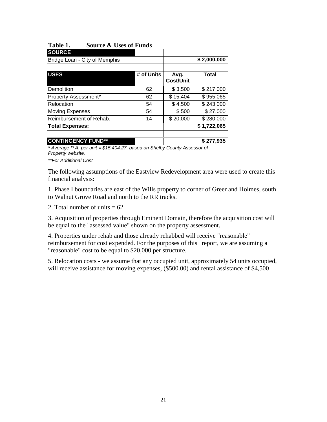| <b>SOURCE</b>                 |            |                          |             |
|-------------------------------|------------|--------------------------|-------------|
| Bridge Loan - City of Memphis |            |                          | \$2,000,000 |
|                               |            |                          |             |
| <b>USES</b>                   | # of Units | Avg.<br><b>Cost/Unit</b> | Total       |
| Demolition                    | 62         | \$3,500                  | \$217,000   |
| Property Assessment*          | 62         | \$15,404                 | \$955,065   |
| Relocation                    | 54         | \$4,500                  | \$243,000   |
| <b>Moving Expenses</b>        | 54         | \$500                    | \$27,000    |
| Reimbursement of Rehab.       | 14         | \$20,000                 | \$280,000   |
| <b>Total Expenses:</b>        |            |                          | \$1,722,065 |
| <b>CONTINGENCY FUND**</b>     |            |                          | \$277,935   |

#### **Table 1. Source & Uses of Funds**

*\* Average P.A. per unit = \$15,404.27, based on Shelby County Assessor of Property website.* 

*\*\*For Additional Cost*

The following assumptions of the Eastview Redevelopment area were used to create this financial analysis:

1. Phase I boundaries are east of the Wills property to corner of Greer and Holmes, south to Walnut Grove Road and north to the RR tracks.

2. Total number of units  $= 62$ .

3. Acquisition of properties through Eminent Domain, therefore the acquisition cost will be equal to the "assessed value" shown on the property assessment.

4. Properties under rehab and those already rehabbed will receive "reasonable" reimbursement for cost expended. For the purposes of this report, we are assuming a "reasonable" cost to be equal to \$20,000 per structure.

5. Relocation costs - we assume that any occupied unit, approximately 54 units occupied, will receive assistance for moving expenses,  $(\$500.00)$  and rental assistance of \$4,500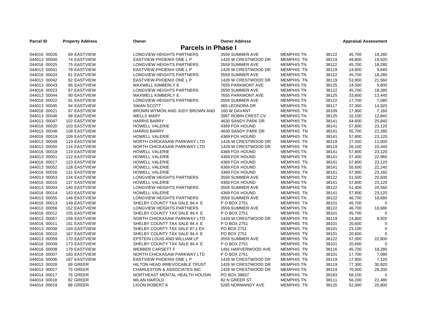| <b>Parcel ID</b>          | <b>Property Address</b> | Owner                                  | <b>Owner Address</b> |                   |       | <b>Appraisal Assessment</b> |                       |
|---------------------------|-------------------------|----------------------------------------|----------------------|-------------------|-------|-----------------------------|-----------------------|
| <b>Parcels in Phase I</b> |                         |                                        |                      |                   |       |                             |                       |
| 044016 00026              | 69 EASTVIEW             | <b>LONGVIEW HEIGHTS PARTNERS</b>       | 3559 SUMMER AVE      | <b>MEMPHIS TN</b> | 38122 | 45,700                      | 18,280                |
| 044013 00040              | <b>74 EASTVIEW</b>      | EASTVIEW-PHOENIX ONE L P               | 1426 W CRESTWOOD DR  | <b>MEMPHIS TN</b> | 38119 | 49.800                      | 19,920                |
| 044016 00025              | <b>75 EASTVIEW</b>      | LONGVIEW HEIGHTS PARTNERS              | 3559 SUMMER AVE      | <b>MEMPHIS TN</b> | 38122 | 45.700                      | 18,280                |
| 044013 00041              | 78 EASTVIEW             | EASTVIEW-PHOENIX ONE L P               | 1426 W CRESTWOOD DR  | <b>MEMPHIS TN</b> | 38119 | 24,600                      | 9,840                 |
| 044016 00024              | 81 EASTVIEW             | LONGVIEW HEIGHTS PARTNERS              | 3559 SUMMER AVE      | <b>MEMPHIS TN</b> | 38122 | 45,700                      | 18,280                |
| 044013 00042              | 82 EASTVIEW             | EASTVIEW-PHOENIX ONE L P               | 1426 W CRESTWOOD DR  | <b>MEMPHIS TN</b> | 38119 | 53,900                      | 21,560                |
| 044013 00043              | <b>86 EASTVIEW</b>      | MAXWELL KIMBERLY E                     | 7655 PARKMONT AVE    | <b>MEMPHIS TN</b> | 38125 | 24,500                      | 9,800                 |
| 044016 00023              | 87 EASTVIEW             | LONGVIEW HEIGHTS PARTNERS              | 3559 SUMMER AVE      | <b>MEMPHIS TN</b> | 38122 | 45,700                      | 18,280                |
| 044013 00044              | 90 EASTVIEW             | MAXWELL KIMBERLY E                     | 7655 PARKMONT AVE    | <b>MEMPHIS TN</b> | 38125 | 33,600                      | 13,440                |
| 044016 00022              | 91 EASTVIEW             | LONGVIEW HEIGHTS PARTNERS              | 3559 SUMMER AVE      | <b>MEMPHIS TN</b> | 38122 | 17,700                      | 7,080                 |
| 044013 00045              | 94 EASTVIEW             | <b>SWAN SCOTT</b>                      | 465 LEONORA DR       | <b>MEMPHIS TN</b> | 38117 | 37,300                      | 14,920                |
| 044016 00021              | 97 EASTVIEW             | BROWN WYMON AND JUDY BROWN AND         | 160 W DAVANT         | <b>MEMPHIS TN</b> | 38109 | 17,900                      | 7,160                 |
| 044013 00046              | 98 EASTVIEW             | <b>WELLS MARY</b>                      | 3997 ROBIN CREST CV  | <b>MEMPHIS TN</b> | 38125 | 32,100                      | 12,840                |
| 044013 00047              | 102 EASTVIEW            | <b>HARRIS BARRY</b>                    | 4630 SANDY PARK DR   | <b>MEMPHIS TN</b> | 38141 | 64,600                      | 25,840                |
| 044016 00020              | 103 EASTVIEW            | <b>HOWELL VALERIE</b>                  | 4369 FOX HOUND       | <b>MEMPHIS TN</b> | 38141 | 57,800                      | 23,120                |
| 044013 00048              | 106 EASTVIEW            | <b>HARRIS BARRY</b>                    | 4630 SANDY PARK DR   | <b>MEMPHIS TN</b> | 38141 | 55,700                      | 22,280                |
| 044016 00019              | 109 EASTVIEW            | <b>HOWELL VALERIE</b>                  | 4369 FOX HOUND       | <b>MEMPHIS TN</b> | 38141 | 57,800                      | 23,120                |
| 044013 00049              | 110 EASTVIEW            | NORTH CHICKASAW PARKWAY LTD            | 1426 W CRESTWOOD DR  | <b>MEMPHIS TN</b> | 38119 | 27,500                      | 11,000                |
| 044013 00050              | 116 EASTVIEW            | NORTH CHICKASAW PARKWAY LTD            | 1426 W CRESTWOOD DR  | <b>MEMPHIS TN</b> | 38119 | 26,100                      | 10,440                |
| 044016 00018              | 119 EASTVIEW            | <b>HOWELL VALERIE</b>                  | 4369 FOX HOUND       | <b>MEMPHIS TN</b> | 38141 | 57,800                      | 23,120                |
| 044013 00051              | <b>122 EASTVIEW</b>     | <b>HOWELL VALERIE</b>                  | 4369 FOX HOUND       | <b>MEMPHIS TN</b> | 38141 | 57,400                      | 22,960                |
| 044016 00017              | 123 EASTVIEW            | <b>HOWELL VALERIE</b>                  | 4369 FOX HOUND       | <b>MEMPHIS TN</b> | 38141 | 57,800                      | 23,120                |
| 044013 00052              | <b>128 EASTVIEW</b>     | <b>HOWELL VALERIE</b>                  | 4369 FOX HOUND       | <b>MEMPHIS TN</b> | 38141 | 55,600                      | 22,240                |
| 044016 00016              | 131 EASTVIEW            | <b>HOWELL VALERIE</b>                  | 4369 FOX HOUND       | <b>MEMPHIS TN</b> | 38141 | 57,900                      | 23,160                |
| 044013 00053              | 134 EASTVIEW            | LONGVIEW HEIGHTS PARTNERS              | 3559 SUMMER AVE      | <b>MEMPHIS TN</b> | 38122 | 51,500                      | 20,600                |
| 044016 00015              | <b>137 EASTVIEW</b>     | <b>HOWELL VALERIE</b>                  | 4369 FOX HOUND       | <b>MEMPHIS TN</b> | 38141 | 57,800                      | 23,120                |
| 044013 00054              | 140 EASTVIEW            | LONGVIEW HEIGHTS PARTNERS              | 3559 SUMMER AVE      | <b>MEMPHIS TN</b> | 38122 | 51,400                      | 20,560                |
| 044016 00014              | 143 EASTVIEW            | <b>HOWELL VALERIE</b>                  | 4369 FOX HOUND       | <b>MEMPHIS TN</b> | 38141 | 57,800                      | 23,120                |
| 044013 00055              | 146 EASTVIEW            | LONGVIEW HEIGHTS PARTNERS              | 3559 SUMMER AVE      | <b>MEMPHIS TN</b> | 38122 | 46,700                      |                       |
| 044016 00013              | 149 EASTVIEW            | SHELBY COUNTY TAX SALE 94.4 E          | P O BOX 2751         | <b>MEMPHIS TN</b> | 38101 | 45,700                      | 18,680<br>$\mathbf 0$ |
|                           |                         |                                        |                      |                   |       |                             |                       |
| 044013 00056              | <b>152 EASTVIEW</b>     | LONGVIEW HEIGHTS PARTNERS              | 3559 SUMMER AVE      | <b>MEMPHIS TN</b> | 38122 | 46,700                      | 18,680                |
| 044016 00012              | <b>155 EASTVIEW</b>     | SHELBY COUNTY TAX SALE 94.4 E          | P O BOX 2751         | <b>MEMPHIS TN</b> | 38101 | 45.700                      | $\Omega$              |
| 044013 00057              | 158 EASTVIEW            | NORTH CHICKASAW PARKWAY LTD            | 1426 W CRESTWOOD DR  | <b>MEMPHIS TN</b> | 38119 | 24,800                      | 9,920                 |
| 044016 00011              | 161 EASTVIEW            | SHELBY COUNTY TAX SALE 94.4 E          | P O BOX 2751         | <b>MEMPHIS TN</b> | 38101 | 20,600                      | $\Omega$              |
| 044013 00058              | <b>164 EASTVIEW</b>     | SHELBY COUNTY TAX SALE 97.1 EX         | PO BOX 2751          | <b>MEMPHIS TN</b> | 38101 | 23,100                      | $\mathbf 0$           |
| 044016 00010              | <b>167 EASTVIEW</b>     | SHELBY COUNTY TAX SALE 94.4 E          | PO BOX 2751          | <b>MEMPHIS TN</b> | 38101 | 20,600                      | $\Omega$              |
| 044013 00059              | 170 EASTVIEW            | EPSTEIN LOUIS AND WILLIAM LP           | 3559 SUMMER AVE      | <b>MEMPHIS TN</b> | 38122 | 57,000                      | 22,800                |
| 044016 00009              | 173 EASTVIEW            | SHELBY COUNTY TAX SALE 94.4 E          | P O BOX 2751         | <b>MEMPHIS TN</b> | 38101 | 20,600                      | $\Omega$              |
| 044016 00008              | 179 EASTVIEW            | <b>WEBBER CARSETT F</b>                | 1491 HARVERWOOD AVE  | <b>MEMPHIS TN</b> | 38116 | 45,700                      | 18,280                |
| 044016 00007              | 183 EASTVIEW            | NORTH CHICKASAW PARKWAY LTD            | P O BOX 2751         | <b>MEMPHIS TN</b> | 38101 | 17,700                      | 7,080                 |
| 044016 00006              | <b>187 EASTVIEW</b>     | EASTVIEW-PHOENIX ONE L P               | 1426 W CRESTWOOD DR  | <b>MEMPHIS TN</b> | 38119 | 17,800                      | 7,120                 |
| 044013 00028              | 69 GREER                | <b>HILTON HEAD IRREVOCABLE TRUST</b>   | 1426 W CRESTWOOD DR  | <b>MEMPHIS TN</b> | 38119 | 77,300                      | 30,920                |
| 044013 00027              | 75 GREER                | <b>CHARLESTON &amp; ASSOCIATES INC</b> | 1426 W CRESTWOOD DR  | <b>MEMPHIS TN</b> | 38119 | 70,500                      | 28,200                |
| 044014 00017              | 76 GREER                | NORTHEAST MENTAL HEALTH HOUSIN         | PO BOX 38657         | <b>MEMPHIS TN</b> | 38183 | 58,100                      | $\mathbf 0$           |
| 044014 00018              | 82 GREER                | <b>MILAN HAROLD</b>                    | 82 N GREER ST        | <b>MEMPHIS TN</b> | 38111 | 56,200                      | 22,480                |
| 044014 00019              | 88 GREER                | <b>LIGON ROBERT K</b>                  | 5285 NORMANDY AVE    | <b>MEMPHIS TN</b> | 38120 | 52,000                      | 20,800                |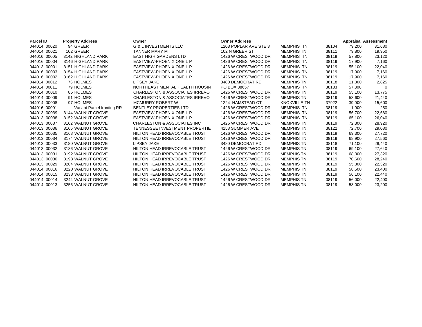| <b>Parcel ID</b> | <b>Property Address</b>   | Owner                                     | <b>Owner Address</b>  |                     |       | <b>Appraisal Assessment</b> |             |
|------------------|---------------------------|-------------------------------------------|-----------------------|---------------------|-------|-----------------------------|-------------|
| 044014 00020     | 94 GREER                  | <b>G &amp; L INVESTMENTS LLC</b>          | 1203 POPLAR AVE STE 3 | <b>MEMPHIS TN</b>   | 38104 | 79,200                      | 31,680      |
| 044014 00021     | 102 GREER                 | <b>TANNER MARY M</b>                      | 102 N GREER ST        | <b>MEMPHIS TN</b>   | 38111 | 79,800                      | 19,950      |
| 044016 00005     | 3142 HIGHLAND PARK        | <b>EAST HIGH GARDENS LTD</b>              | 1426 W CRESTWOOD DR   | <b>MEMPHIS TN</b>   | 38119 | 57.800                      | 23,120      |
| 044016 00004     | 3146 HIGHLAND PARK        | EASTVIEW-PHOENIX ONE L P                  | 1426 W CRESTWOOD DR   | <b>MEMPHIS TN</b>   | 38119 | 17,900                      | 7,160       |
| 044013 00001     | 3151 HIGHLAND PARK        | EASTVIEW-PHOENIX ONE L P                  | 1426 W CRESTWOOD DR   | <b>MEMPHIS TN</b>   | 38119 | 55.100                      | 22,040      |
| 044016 00003     | 3154 HIGHLAND PARK        | EASTVIEW-PHOENIX ONE L P                  | 1426 W CRESTWOOD DR   | <b>MEMPHIS TN</b>   | 38119 | 17,900                      | 7,160       |
| 044016 00002     | 3162 HIGHLAND PARK        | EASTVIEW-PHOENIX ONE L P                  | 1426 W CRESTWOOD DR   | <b>MEMPHIS TN</b>   | 38119 | 17,900                      | 7,160       |
| 044014 00012     | 73 HOLMES                 | <b>LIPSEY JAKE</b>                        | 3480 DEMOCRAT RD      | <b>MEMPHIS TN</b>   | 38118 | 11.300                      | 2,825       |
| 044014 00011     | 79 HOLMES                 | NORTHEAST MENTAL HEALTH HOUSIN            | PO BOX 38657          | <b>MEMPHIS TN</b>   | 38183 | 57,300                      | $\mathbf 0$ |
| 044014 00010     | 85 HOLMES                 | <b>CHARLESTON &amp; ASSOCIATES IRREVO</b> | 1426 W CRESTWOOD DR   | <b>MEMPHIS TN</b>   | 38119 | 55.100                      | 13,775      |
| 044014 00009     | 91 HOLMES                 | <b>CHARLESTON &amp; ASSOCIATES IRREVO</b> | 1426 W CRESTWOOD DR   | <b>MEMPHIS TN</b>   | 38119 | 53,600                      | 21,440      |
| 044014 00008     | 97 HOLMES                 | <b>MCMURRY ROBERT W</b>                   | 1224 HAMSTEAD CT      | <b>KNOXVILLE TN</b> | 37922 | 39.000                      | 15,600      |
| 044016 00001     | Vacant Parcel fronting RR | BENTLEY PROPERTIES LTD                    | 1426 W CRESTWOOD DR   | <b>MEMPHIS TN</b>   | 38119 | 1,000                       | 250         |
| 044013 00039     | 3144 WALNUT GROVE         | EASTVIEW-PHOENIX ONE L P                  | 1426 W CRESTWOOD DR   | <b>MEMPHIS TN</b>   | 38119 | 56.700                      | 22,680      |
| 044013 00038     | 3152 WALNUT GROVE         | EASTVIEW-PHOENIX ONE L P                  | 1426 W CRESTWOOD DR   | <b>MEMPHIS TN</b>   | 38119 | 65.100                      | 26,040      |
| 044013 00037     | 3162 WALNUT GROVE         | <b>CHARLESTON &amp; ASSOCIATES INC</b>    | 1426 W CRESTWOOD DR   | <b>MEMPHIS TN</b>   | 38119 | 72,300                      | 28,920      |
| 044013 00036     | 3166 WALNUT GROVE         | <b>TENNESSEE INVESTMENT PROPERTIE</b>     | 4158 SUMMER AVE       | <b>MEMPHIS TN</b>   | 38122 | 72.700                      | 29,080      |
| 044013 00035     | 3168 WALNUT GROVE         | <b>HILTON HEAD IRREVOCABLE TRUST</b>      | 1426 W CRESTWOOD DR   | <b>MEMPHIS TN</b>   | 38119 | 69.300                      | 27,720      |
| 044013 00034     | 3174 WALNUT GROVE         | <b>HILTON HEAD IRREVOCABLE TRUST</b>      | 1426 W CRESTWOOD DR   | <b>MEMPHIS TN</b>   | 38119 | 68.900                      | 27,560      |
| 044013 00033     | 3180 WALNUT GROVE         | <b>LIPSEY JAKE</b>                        | 3480 DEMOCRAT RD      | <b>MEMPHIS TN</b>   | 38118 | 71.100                      | 28,440      |
| 044013 00032     | 3186 WALNUT GROVE         | <b>HILTON HEAD IRREVOCABLE TRUST</b>      | 1426 W CRESTWOOD DR   | <b>MEMPHIS TN</b>   | 38119 | 69,100                      | 27,640      |
| 044013 00031     | 3192 WALNUT GROVE         | <b>HILTON HEAD IRREVOCABLE TRUST</b>      | 1426 W CRESTWOOD DR   | <b>MEMPHIS TN</b>   | 38119 | 68.300                      | 27,320      |
| 044013 00030     | 3198 WALNUT GROVE         | <b>HILTON HEAD IRREVOCABLE TRUST</b>      | 1426 W CRESTWOOD DR   | <b>MEMPHIS TN</b>   | 38119 | 70.600                      | 28,240      |
| 044013 00029     | 3204 WALNUT GROVE         | <b>HILTON HEAD IRREVOCABLE TRUST</b>      | 1426 W CRESTWOOD DR   | <b>MEMPHIS TN</b>   | 38119 | 55,800                      | 22,320      |
| 044014 00016     | 3228 WALNUT GROVE         | <b>HILTON HEAD IRREVOCABLE TRUST</b>      | 1426 W CRESTWOOD DR   | <b>MEMPHIS TN</b>   | 38119 | 58,500                      | 23,400      |
| 044014 00015     | 3238 WALNUT GROVE         | <b>HILTON HEAD IRREVOCABLE TRUST</b>      | 1426 W CRESTWOOD DR   | <b>MEMPHIS TN</b>   | 38119 | 56,100                      | 22,440      |
| 044014 00014     | 3244 WALNUT GROVE         | <b>HILTON HEAD IRREVOCABLE TRUST</b>      | 1426 W CRESTWOOD DR   | <b>MEMPHIS TN</b>   | 38119 | 56,000                      | 22,400      |
| 044014 00013     | 3256 WALNUT GROVE         | <b>HILTON HEAD IRREVOCABLE TRUST</b>      | 1426 W CRESTWOOD DR   | <b>MEMPHIS TN</b>   | 38119 | 58.000                      | 23.200      |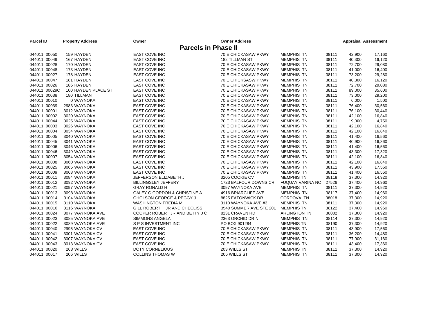| <b>Parcel ID</b> | <b>Property Address</b>    | Owner                               | <b>Owner Address</b>       |                         |       | <b>Appraisal Assessment</b> |        |
|------------------|----------------------------|-------------------------------------|----------------------------|-------------------------|-------|-----------------------------|--------|
|                  | <b>Parcels in Phase II</b> |                                     |                            |                         |       |                             |        |
| 044011 00050     | 159 HAYDEN                 | <b>EAST COVE INC</b>                | 70 E CHICKASAW PKWY        | <b>MEMPHIS TN</b>       | 38111 | 42,900                      | 17,160 |
| 044011 00049     | 167 HAYDEN                 | <b>EAST COVE INC</b>                | <b>182 TILLMAN ST</b>      | <b>MEMPHIS TN</b>       | 38111 | 40,300                      | 16,120 |
| 044011 00028     | 170 HAYDEN                 | EAST COVE INC                       | 70 E CHICKASAW PKWY        | <b>MEMPHIS TN</b>       | 38111 | 72,700                      | 29,080 |
| 044011 00048     | 173 HAYDEN                 | <b>EAST COVE INC</b>                | 70 E CHICKASAW PKWY        | <b>MEMPHIS TN</b>       | 38111 | 41,000                      | 16,400 |
| 044011 00027     | 178 HAYDEN                 | <b>EAST COVE INC</b>                | 70 E CHICKASAW PKWY        | <b>MEMPHIS TN</b>       | 38111 | 73,200                      | 29,280 |
| 044011 00047     | 181 HAYDEN                 | <b>EAST COVE INC</b>                | 70 E CHICKSASW PKWY        | <b>MEMPHIS TN</b>       | 38111 | 40,300                      | 16,120 |
| 044011 00026     | 186 HAYDEN                 | <b>EAST COVE INC</b>                | <b>70 E CHICKASAW PKWY</b> | <b>MEMPHIS TN</b>       | 38111 | 72,700                      | 29,080 |
| 044011 00029C    | 160 HAYDEN PLACE ST        | <b>EAST COVE INC</b>                | 70 E CHICKASAW PKWY        | <b>MEMPHIS TN</b>       | 38111 | 89,000                      | 35,600 |
| 044011 00038     | 180 TILLMAN                | EAST COVE INC                       | 70 E CHICKASAW PKWY        | <b>MEMPHIS TN</b>       | 38111 | 73,000                      | 29,200 |
| 044011 00010     | 0 WAYNOKA                  | <b>EAST COVE INC</b>                | <b>70 E CHICKASAW PKWY</b> | <b>MEMPHIS TN</b>       | 38111 | 6,000                       | 1,500  |
| 044011 00039     | 2983 WAYNOKA               | <b>EAST COVE INC</b>                | 70 E CHICKASAW PKWY        | <b>MEMPHIS TN</b>       | 38111 | 76,400                      | 30,560 |
| 044011 00001     | 3012 WAYNOKA               | <b>EAST COVE INC</b>                | 70 E CHICKASAW PKWY        | <b>MEMPHIS TN</b>       | 38111 | 76,100                      | 30,440 |
| 044011 00002     | 3020 WAYNOKA               | <b>EAST COVE INC</b>                | 70 E CHICKASAW PKWY        | <b>MEMPHIS TN</b>       | 38111 | 42,100                      | 16,840 |
| 044011 00044     | 3025 WAYNOKA               | <b>EAST COVE INC</b>                | 70 E CHICKASAW PKWY        | <b>MEMPHIS TN</b>       | 38111 | 19,000                      | 4,750  |
| 044011 00003     | 3026 WAYNOKA               | <b>EAST COVE INC</b>                | 70 E CHICKASAW PKWY        | <b>MEMPHIS TN</b>       | 38111 | 42,100                      | 16,840 |
| 044011 00004     | 3034 WAYNOKA               | <b>EAST COVE INC</b>                | 70 E CHICKASAW PKWY        | <b>MEMPHIS TN</b>       | 38111 | 42,100                      | 16,840 |
| 044011 00005     | 3040 WAYNOKA               | <b>EAST COVE INC</b>                | 70 E CHICKASAW PKWY        | <b>MEMPHIS TN</b>       | 38111 | 41,400                      | 16,560 |
| 044011 00045     | 3041 WAYNOKA               | <b>EAST COVE INC</b>                | 70 E CHICKASAW PKWY        | <b>MEMPHIS TN</b>       | 38111 | 40,900                      | 16,360 |
| 044011 00006     | 3046 WAYNOKA               | <b>EAST COVE INC</b>                | 70 E CHICKASAW PKWY        | <b>MEMPHIS TN</b>       | 38111 | 41,400                      | 16,560 |
| 044011 00046     | 3049 WAYNOKA               | <b>EAST COVE INC</b>                | 70 E CHICKASAW PKWY        | <b>MEMPHIS TN</b>       | 38111 | 43,300                      | 17,320 |
| 044011 00007     | 3054 WAYNOKA               | <b>EAST COVE INC</b>                | 70 E CHICKASAW PKWY        | <b>MEMPHIS TN</b>       | 38111 | 42,100                      | 16,840 |
| 044011 00008     | 3060 WAYNOKA               | <b>EAST COVE INC</b>                | 70 E CHICKASAW PKWY        | <b>MEMPHIS TN</b>       | 38111 | 42,100                      | 16,840 |
| 044011 00025     | 3065 WAYNOKA               | <b>EAST COVE INC</b>                | 70 E CHICKASAW PKWY        | <b>MEMPHIS TN</b>       | 38111 | 43,900                      | 17,560 |
| 044011 00009     | 3068 WAYNOKA               | <b>EAST COVE INC</b>                | 70 E CHICKASAW PKWY        | <b>MEMPHIS TN</b>       | 38111 | 41,400                      | 16,560 |
| 044011 00011     | 3084 WAYNOKA               | JEFFERSON ELIZABETH J               | 3205 COOKIE CV             | <b>MEMPHIS TN</b>       | 38118 | 37,300                      | 14,920 |
| 044011 00012     | 3092 WAYNOKA               | <b>BILLINGSLEY JEFFERY</b>          | 1723 BALFOUR DOWNS CR      | <b>FUQUAY VARINA NC</b> | 27526 | 37,400                      | 14,960 |
| 044011 00021     | 3097 WAYNOKA               | <b>GRAY RONALD H</b>                | 3097 WAYNOKA AVE           | <b>MEMPHIS TN</b>       | 38111 | 37,300                      | 14,920 |
| 044011 00013     | 3098 WAYNOKA               | GALEY G GORDON & CHRISTINE A        | 4916 BRIARCLIFF AVE        | <b>MEMPHIS TN</b>       | 38117 | 37,400                      | 14,960 |
| 044011 00014     | 3104 WAYNOKA               | <b>GHOLSON GEORGE &amp; PEGGY J</b> | 8825 EATONWICK DR          | CORDOVA TN              | 38018 | 37,300                      | 14,920 |
| 044011 00015     | 3110 WAYNOKA               | <b>WASHINGTON FREDIA M</b>          | 3110 WAYNOKA AVE #3        | <b>MEMPHIS TN</b>       | 38111 | 37,300                      | 14,920 |
| 044011 00016     | 3116 WAYNOKA               | GILL ROBERT H JR AND CHECLISS       | 3540 SUMMER AVE STE 201    | <b>MEMPHIS TN</b>       | 38122 | 37,400                      | 14,960 |
| 044011 00024     | 3077 WAYNOKA AVE           | COOPER ROBERT JR AND BETTY J C      | 8231 CRAVEN RD             | <b>ARLINGTON TN</b>     | 38002 | 37,300                      | 14,920 |
| 044011 00023     | 3085 WAYNOKA AVE           | <b>SIMMONS ANGELA</b>               | 2363 ORCHID DR N           | <b>MEMPHIS TN</b>       | 38114 | 37,300                      | 14,920 |
| 044011 00022     | 3089 WAYNOKA AVE           | S P S INVESTMENT INC                | PO BOX 901284              | <b>MEMPHIS TN</b>       | 38190 | 37,300                      | 14,920 |
| 044011 00040     | 2995 WAYNOKA CV            | <b>EAST COVE INC</b>                | 70 E CHICKASAW PKWY        | <b>MEMPHIS TN</b>       | 38111 | 43,900                      | 17,560 |
| 044011 00041     | 3001 WAYNOKA CV            | <b>EAST COVE INC</b>                | 70 E CHICKASAW PKWY        | <b>MEMPHIS TN</b>       | 38111 | 36,200                      | 14,480 |
| 044011 00042     | 3007 WAYNOKA CV            | <b>EAST COVE INC</b>                | 70 E CHICKASAW PKWY        | <b>MEMPHIS TN</b>       | 38111 | 77,900                      | 31,160 |
| 044011 00043     | 3013 WAYNOKA CV            | <b>EAST COVE INC</b>                | 70 E CHICKASAW PKWY        | <b>MEMPHIS TN</b>       | 38111 | 43,400                      | 17,360 |
| 044011 00020     | 203 WILLS                  | <b>DOTY CORNELIOUS</b>              | 203 WILLS ST               | <b>MEMPHIS TN</b>       | 38111 | 37,300                      | 14,920 |
| 044011 00017     | 206 WILLS                  | <b>COLLINS THOMAS W</b>             | 206 WILLS ST               | <b>MEMPHIS TN</b>       | 38111 | 37,300                      | 14,920 |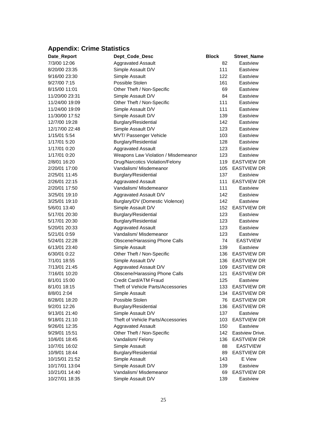# <span id="page-28-0"></span>**Appendix: Crime Statistics**

| Date_Report    | Dept Code Desc                      | <b>Block</b> | <b>Street Name</b> |
|----------------|-------------------------------------|--------------|--------------------|
| 7/3/00 12:06   | <b>Aggravated Assault</b>           | 82           | Eastview           |
| 8/20/00 23:35  | Simple Assault D/V                  | 111          | Eastview           |
| 9/16/00 23:30  | Simple Assault                      | 122          | Eastview           |
| 9/27/00 7:15   | Possible Stolen                     | 161          | Eastview           |
| 8/15/00 11:01  | Other Theft / Non-Specific          | 69           | Eastview           |
| 11/20/00 23:31 | Simple Assault D/V                  | 84           | Eastview           |
| 11/24/00 19:09 | Other Theft / Non-Specific          | 111          | Eastview           |
| 11/24/00 19:09 | Simple Assault D/V                  | 111          | Eastview           |
| 11/30/00 17:52 | Simple Assault D/V                  | 139          | Eastview           |
| 12/7/00 19:28  | Burglary/Residential                | 142          | Eastview           |
| 12/17/00 22:48 | Simple Assault D/V                  | 123          | Eastview           |
| 1/15/01 5:54   | MVT/ Passenger Vehicle              | 103          | Eastview           |
| 1/17/01 5:20   | Burglary/Residential                | 128          | Eastview           |
| 1/17/01 0:20   | <b>Aggravated Assault</b>           | 123          | Eastview           |
| 1/17/01 0:20   | Weapons Law Violation / Misdemeanor | 123          | Eastview           |
| 2/8/01 16:20   | Drug/Narcotics Violation/Felony     | 119          | <b>EASTVIEW DR</b> |
| 2/20/01 17:00  | Vandalism/ Misdemeanor              | 105          | <b>EASTVIEW DR</b> |
| 2/25/01 11:45  | Burglary/Residential                | 137          | Eastview           |
| 2/26/01 22:15  | <b>Aggravated Assault</b>           | 111          | <b>EASTVIEW DR</b> |
| 2/20/01 17:50  | Vandalism/ Misdemeanor              | 111          | Eastview           |
| 3/25/01 19:10  | Aggravated Assault D/V              | 142          | Eastview           |
| 3/25/01 19:10  | Burglary/DV (Domestic Violence)     | 142          | Eastview           |
| 5/6/01 13:40   | Simple Assault D/V                  | 152          | <b>EASTVIEW DR</b> |
| 5/17/01 20:30  | Burglary/Residential                | 123          | Eastview           |
| 5/17/01 20:30  | Burglary/Residential                | 123          | Eastview           |
| 5/20/01 20:33  | <b>Aggravated Assault</b>           | 123          | Eastview           |
| 5/21/01 0:59   | Vandalism/ Misdemeanor              | 123          | Eastview           |
| 5/24/01 22:28  | Obscene/Harassing Phone Calls       | 74           | <b>EASTVIEW</b>    |
| 6/13/01 23:40  | Simple Assault                      | 139          | Eastview           |
| 6/30/01 0:22   | Other Theft / Non-Specific          | 136          | <b>EASTVIEW DR</b> |
| 7/1/01 18:55   | Simple Assault D/V                  | 136          | <b>EASTVIEW DR</b> |
| 7/13/01 21:45  | Aggravated Assault D/V              | 109          | <b>EASTVIEW DR</b> |
| 7/16/01 10:20  | Obscene/Harassing Phone Calls       | 121          | <b>EASTVIEW DR</b> |
| 8/1/01 15:00   | Credit Card/ATM Fraud               | 125          | Eastview           |
| 8/1/01 18:15   | Theft of Vehicle Parts/Accessories  | 133          | <b>EASTVIEW DR</b> |
| 8/8/01 2:04    | Simple Assault                      | 134          | <b>EASTVIEW DR</b> |
| 8/28/01 18:20  | Possible Stolen                     | 76           | <b>EASTVIEW DR</b> |
| 9/2/01 12:26   | Burglary/Residential                | 136          | <b>EASTVIEW DR</b> |
| 9/13/01 21:40  | Simple Assault D/V                  | 137          | Eastview           |
| 9/18/01 21:10  | Theft of Vehicle Parts/Accessories  | 103          | <b>EASTVIEW DR</b> |
| 9/26/01 12:35  | <b>Aggravated Assault</b>           | 150          | Eastview           |
| 9/29/01 15:51  | Other Theft / Non-Specific          | 142          | Eastview Drive.    |
| 10/6/01 18:45  | Vandalism/Felony                    | 136          | <b>EASTVIEW DR</b> |
| 10/7/01 16:02  | Simple Assault                      | 88           | <b>EASTVIEW</b>    |
| 10/9/01 18:44  | Burglary/Residential                | 89           | <b>EASTVIEW DR</b> |
| 10/15/01 21:52 | Simple Assault                      | 143          | E View             |
| 10/17/01 13:04 | Simple Assault D/V                  | 139          | Eastview           |
| 10/21/01 14:40 | Vandalism/ Misdemeanor              | 69           | <b>EASTVIEW DR</b> |
| 10/27/01 18:35 | Simple Assault D/V                  | 139          | Eastview           |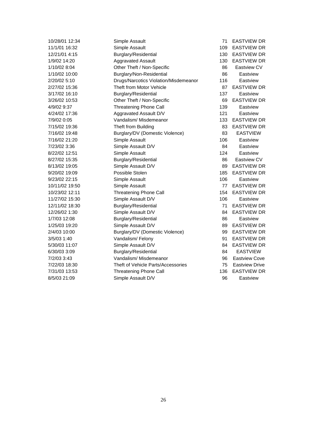| 10/28/01 12:34 | Simple Assault                        | 71  | <b>EASTVIEW</b>    |
|----------------|---------------------------------------|-----|--------------------|
| 11/1/01 16:32  | Simple Assault                        | 109 | <b>EASTVIEW</b>    |
| 12/21/01 4:15  | Burglary/Residential                  | 130 | <b>EASTVIEW</b>    |
| 1/9/02 14:20   | <b>Aggravated Assault</b>             | 130 | <b>EASTVIEW</b>    |
| 1/10/02 8:04   | Other Theft / Non-Specific            | 86  | Eastview C         |
| 1/10/02 10:00  | Burglary/Non-Residential              | 86  | Eastview           |
| 2/20/02 5:10   | Drugs/Narcotics Violation/Misdemeanor | 116 | Eastview           |
| 2/27/02 15:36  | Theft from Motor Vehicle              | 87  | <b>EASTVIEW</b>    |
| 3/17/02 16:10  | Burglary/Residential                  | 137 | Eastview           |
| 3/26/02 10:53  | Other Theft / Non-Specific            | 69  | <b>EASTVIEW</b>    |
| 4/9/02 9:37    | <b>Threatening Phone Call</b>         | 139 | Eastview           |
| 4/24/02 17:36  | Aggravated Assault D/V                | 121 | Eastview           |
| 7/9/02 0:05    | Vandalism/ Misdemeanor                | 133 | <b>EASTVIEW</b>    |
| 7/15/02 19:36  | Theft from Building                   | 83  | <b>EASTVIEW</b>    |
| 7/16/02 19:48  | Burglary/DV (Domestic Violence)       | 83  | <b>EASTVIEV</b>    |
| 7/16/02 21:20  | Simple Assault                        | 106 | Eastview           |
| 7/23/02 3:36   | Simple Assault D/V                    | 84  | Eastview           |
| 8/22/02 12:51  | Simple Assault                        | 124 | Eastview           |
| 8/27/02 15:35  | Burglary/Residential                  | 86  | <b>Eastview C</b>  |
| 8/13/02 19:05  | Simple Assault D/V                    | 89  | <b>EASTVIEW</b>    |
| 9/20/02 19:09  | Possible Stolen                       | 185 | <b>EASTVIEW</b>    |
| 9/23/02 22:15  | Simple Assault                        | 106 | Eastview           |
| 10/11/02 19:50 | Simple Assault                        | 77  | <b>EASTVIEW</b>    |
| 10/23/02 12:11 | <b>Threatening Phone Call</b>         | 154 | <b>EASTVIEW</b>    |
| 11/27/02 15:30 | Simple Assault D/V                    | 106 | Eastview           |
| 12/11/02 18:30 | Burglary/Residential                  | 71  | <b>EASTVIEW</b>    |
| 12/26/02 1:30  | Simple Assault D/V                    | 84  | <b>EASTVIEW</b>    |
| 1/7/03 12:08   | Burglary/Residential                  | 86  | Eastview           |
| 1/25/03 19:20  | Simple Assault D/V                    | 89  | <b>EASTVIEW</b>    |
| 2/4/03 10:00   | Burglary/DV (Domestic Violence)       | 99  | <b>EASTVIEW</b>    |
| 3/5/03 1:40    | Vandalism/Felony                      | 91  | <b>EASTVIEW</b>    |
| 5/30/03 11:07  | Simple Assault D/V                    | 84  | <b>EASTVIEW</b>    |
| 6/30/03 3:09   | Burglary/Residential                  | 84  | <b>EASTVIEV</b>    |
| 7/2/03 3:43    | Vandalism/ Misdemeanor                | 96  | <b>Eastview Co</b> |
| 7/22/03 18:30  | Theft of Vehicle Parts/Accessories    | 75  | <b>Eastview Dr</b> |
| 7/31/03 13:53  | Threatening Phone Call                | 136 | <b>EASTVIEW</b>    |
| 8/5/03 21:09   | Simple Assault D/V                    | 96  | Eastview           |

71 EASTVIEW DR 109 EASTVIEW DR 130 EASTVIEW DR 130 EASTVIEW DR 86 Eastview CV 87 EASTVIEW DR 69 EASTVIEW DR 133 EASTVIEW DR 83 EASTVIEW DR 83 EASTVIEW 86 Eastview CV 89 EASTVIEW DR 185 EASTVIEW DR 77 EASTVIEW DR 154 EASTVIEW DR 71 EASTVIEW DR 84 EASTVIEW DR 89 EASTVIEW DR 99 EASTVIEW DR 91 EASTVIEW DR 84 EASTVIEW DR 84 EASTVIEW 96 Eastview Cove 75 Eastview Drive 136 EASTVIEW DR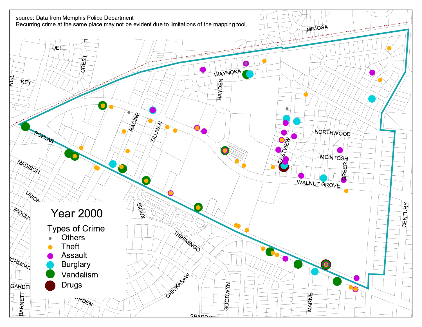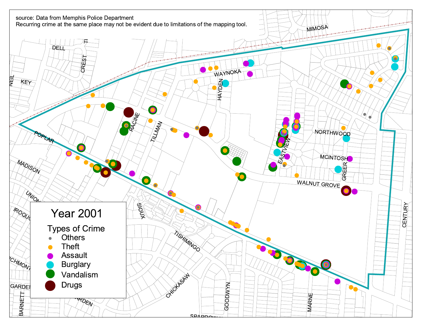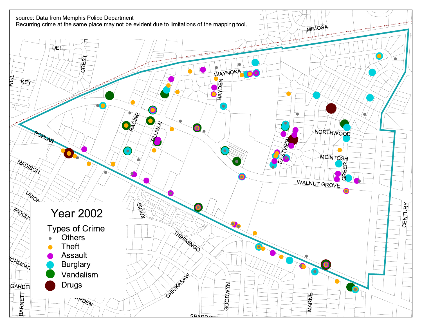